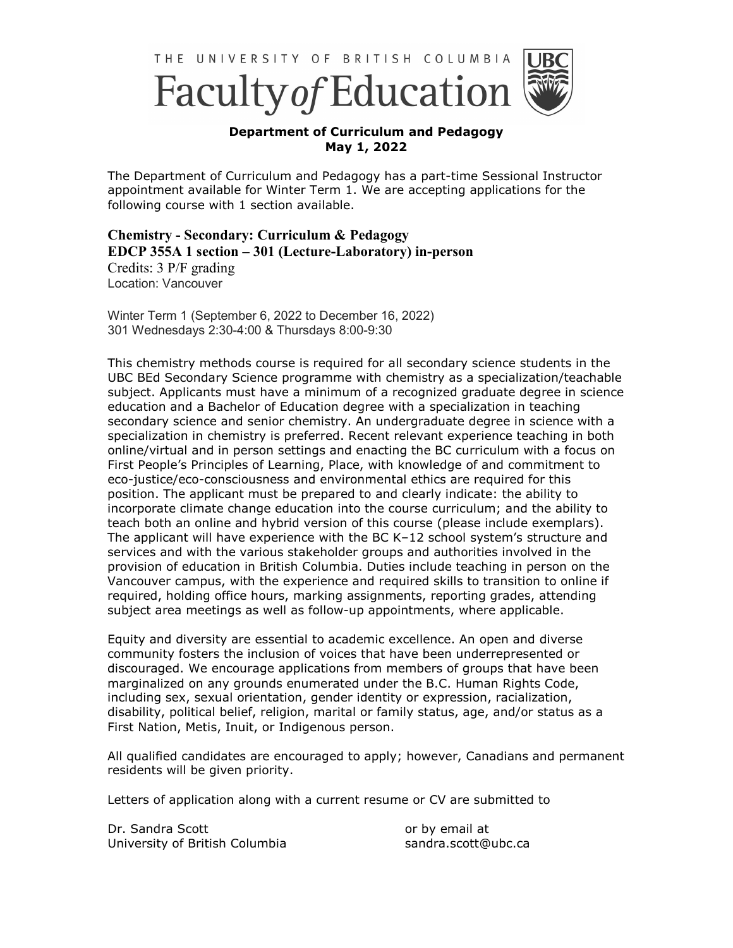



## **Department of Curriculum and Pedagogy May 1, 2022**

The Department of Curriculum and Pedagogy has a part-time Sessional Instructor appointment available for Winter Term 1. We are accepting applications for the following course with 1 section available.

## **Chemistry - Secondary: Curriculum & Pedagogy EDCP 355A 1 section – 301 (Lecture-Laboratory) in-person**

Credits: 3 P/F grading Location: Vancouver

Winter Term 1 (September 6, 2022 to December 16, 2022) 301 Wednesdays 2:30-4:00 & Thursdays 8:00-9:30

This chemistry methods course is required for all secondary science students in the UBC BEd Secondary Science programme with chemistry as a specialization/teachable subject. Applicants must have a minimum of a recognized graduate degree in science education and a Bachelor of Education degree with a specialization in teaching secondary science and senior chemistry. An undergraduate degree in science with a specialization in chemistry is preferred. Recent relevant experience teaching in both online/virtual and in person settings and enacting the BC curriculum with a focus on First People's Principles of Learning, Place, with knowledge of and commitment to eco-justice/eco-consciousness and environmental ethics are required for this position. The applicant must be prepared to and clearly indicate: the ability to incorporate climate change education into the course curriculum; and the ability to teach both an online and hybrid version of this course (please include exemplars). The applicant will have experience with the BC K–12 school system's structure and services and with the various stakeholder groups and authorities involved in the provision of education in British Columbia. Duties include teaching in person on the Vancouver campus, with the experience and required skills to transition to online if required, holding office hours, marking assignments, reporting grades, attending subject area meetings as well as follow-up appointments, where applicable.

Equity and diversity are essential to academic excellence. An open and diverse community fosters the inclusion of voices that have been underrepresented or discouraged. We encourage applications from members of groups that have been marginalized on any grounds enumerated under the B.C. Human Rights Code, including sex, sexual orientation, gender identity or expression, racialization, disability, political belief, religion, marital or family status, age, and/or status as a First Nation, Metis, Inuit, or Indigenous person.

All qualified candidates are encouraged to apply; however, Canadians and permanent residents will be given priority.

Letters of application along with a current resume or CV are submitted to

Dr. Sandra Scott University of British Columbia or by email at sandra.scott@ubc.ca